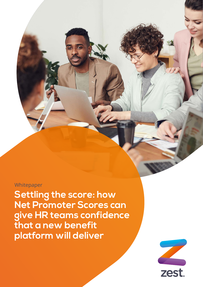### Whitepaper

**Settling the score: how Net Promoter Scores can give HR teams confidence that a new benefit platform will deliver**

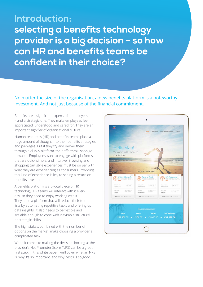**Introduction: selecting a benefits technology provider is a big decision – so how can HR and benefits teams be confident in their choice?**

### No matter the size of the organisation, a new benefits platform is a noteworthy investment. And not just because of the financial commitment.

Benefits are a significant expense for employers – and a strategic one. They make employees feel appreciated, understood and cared for. They are an important signifier of organisational culture.

Human resources (HR) and benefits teams place a huge amount of thought into their benefits strategies and packages. But if they try and deliver them through a clunky platform, their efforts will soon go to waste. Employees want to engage with platforms that are quick simple, and intuitive. Browsing and shopping cart style experiences must be on par with what they are experiencing as consumers. Providing this kind of experience is key to seeing a return on benefits investment.

A benefits platform is a pivotal piece of HR technology. HR teams will interact with it every day, so they need to enjoy working with it. They need a platform that will reduce their to-do lists by automating repetitive tasks and offering up data insights. It also needs to be flexible and scalable enough to cope with inevitable structural or strategic shifts.

The high stakes, combined with the number of options on the market, make choosing a provider a complicated task.

When it comes to making the decision, looking at the provider's Net Promoter Score (NPS) can be a great first step. In this white paper, we'll cover what an NPS is, why it's so important, and why Zest's is so good.

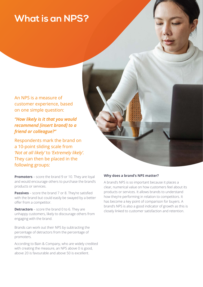# **What is an NPS?**

An NPS is a measure of customer experience, based on one simple question:

*"How likely is it that you would recommend [insert brand] to a friend or colleague?"* 

Respondents mark the brand on a 10-point sliding scale from *'Not at all likely'* to *'Extremely likely'.*  They can then be placed in the following groups:

**Promoters** – score the brand 9 or 10. They are loyal and would encourage others to purchase the brand's products or services.

**Passives** – score the brand 7 or 8. They're satisfied with the brand but could easily be swayed by a better offer from a competitor.

**Detractors** – score the brand 0 to 6. They are unhappy customers, likely to discourage others from engaging with the brand.

Brands can work out their NPS by subtracting the percentage of detractors from the percentage of promoters.

According to Bain & Company, who are widely credited with creating the measure, an NPS above 0 is good, above 20 is favourable and above 50 is excellent.

#### **Why does a brand's NPS matter?**

A brand's NPS is so important because it places a clear, numerical value on how customers feel about its products or services. It allows brands to understand how they're performing in relation to competitors. It has become a key point of comparison for buyers. A brand's NPS is also a good indicator of growth as this is closely linked to customer satisfaction and retention.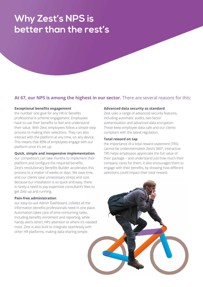# **Why Zest's NPS is better than the rest's**

### **At 67, our NPS is among the highest in our sector.** There are several reasons for this:

#### **Exceptional benefits engagement**

the number one goal for any HR or benefits professional is scheme engagement. Employees have to use their benefits to feel and understand their value. With Zest, employees follow a simple step process to making their selections. They can also interact with the platform at any time, on any device. This means that 89% of employees engage with our platform once it's set up.

#### **Quick, simple and inexpensive implementation**

our competitors can take months to implement their platform and configure the required benefits. Zest's revolutionary Benefits Builder accelerates this process to a matter of weeks or days. We save time, and our clients save unnecessary stress and cost. Because our installation is so quick and easy, there is rarely a need to pay expensive consultant's fees to get Zest up and running.

#### **Pain-free administration**

our easy-to-use Admin Dashboard, collates all the information benefits professionals need in one place. Automation takes care of time-consuming tasks, including benefits enrolment and reporting, while handy alerts direct HR's attention to where it's needed most. Zest is also built to integrate seamlessly with other HR platforms, making data-sharing simple.

#### **Advanced data security as standard**

Zest uses a range of advanced security features, including automatic audits, two-factor authentication and advanced data encryption. These keep employee data safe and our clients compliant with the latest regulation.

#### **Total reward on tap**

the importance of a total reward statement (TRS) cannot be underestimated. Zest's 360°, interactive TRS helps employees appreciate the full value of their package – and understand just how much their company cares for them. It also encourages them to engage with their benefits, by showing how different selections could impact their total reward.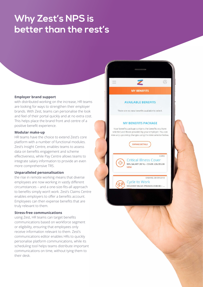## **Why Zest's NPS is better than the rest's**

#### **Employer brand support**

with distributed working on the increase, HR teams are looking for ways to strengthen their employer brands. With Zest, teams can personalise the look and feel of their portal quickly and at no extra cost. This helps place the brand front and centre of a positive benefit experience.

#### **Modular make-up**

HR teams have the choice to extend Zest's core platform with a number of functional modules. Zest's Insight Centre, enables teams to assess data on benefits engagement and scheme effectiveness, while Pay Centre allows teams to integrate salary information to provide an even more comprehensive TRS.

#### **Unparalleled personalisation**

the rise in remote working means that diverse employees are now working in vastly different circumstances – and a one-size-fits-all approach to benefits simply won't work. Zest's Claims Centre enables employers to offer a benefits account. Employees can then expense benefits that are truly relevant to them.

#### **Stress-free communications**

using Zest, HR teams can target benefits communications based on workforce segment or eligibility, ensuring that employees only receive information relevant to them. Zest's communications editor enables HRs to quickly personalise platform communications, while its scheduling tool helps teams distribute important communications on time, without tying them to their desk.

#### **MY BENEFITS**

 $\circledR$ 

#### **AVAILABLE BENEFITS**

There are no new benefits available to select.

#### **MY BENEFITS PACKAGE**

Your benefits package contains the benefits you have selected and those provided by your employer. You can view any upcoming changes using the date selector below.

EXPAND DETAILS

ඇ

**Critical Illness Cover** 90% SALARY (90 %) - COVER: £26,955.00 **VIEW** 

CORE

ENDING 30/09/2018 **Cycle to Work** VOUCHER VALUE (POUNDS £500.00) - ...